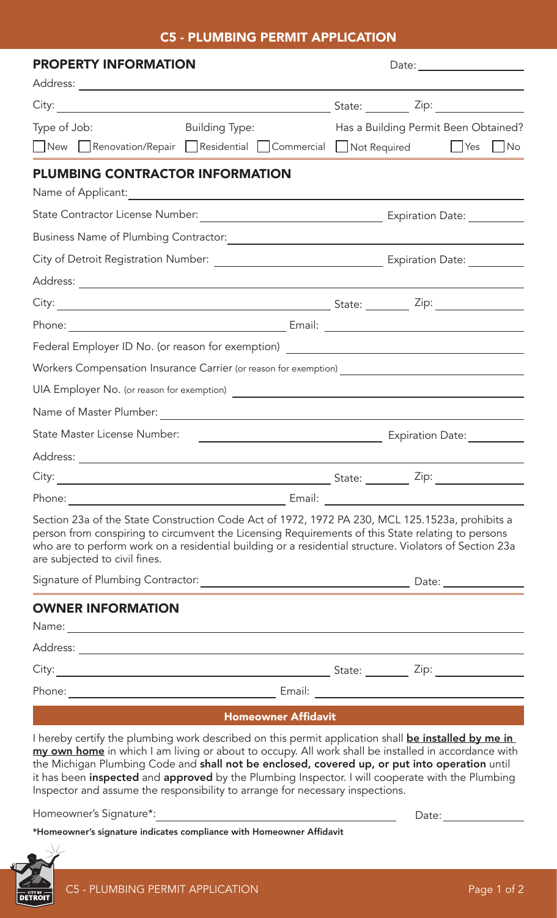## C5 - PLUMBING PERMIT APPLICATION

| <b>PROPERTY INFORMATION</b>                                                                                                                                                                                                                                                                                                                                                                                                                                                                             |  |                                             |  |    |
|---------------------------------------------------------------------------------------------------------------------------------------------------------------------------------------------------------------------------------------------------------------------------------------------------------------------------------------------------------------------------------------------------------------------------------------------------------------------------------------------------------|--|---------------------------------------------|--|----|
|                                                                                                                                                                                                                                                                                                                                                                                                                                                                                                         |  |                                             |  |    |
|                                                                                                                                                                                                                                                                                                                                                                                                                                                                                                         |  | State: $\frac{Zip:\qquad \qquad \text{2i.}$ |  |    |
| <b>Building Type:</b><br>Type of Job:                                                                                                                                                                                                                                                                                                                                                                                                                                                                   |  | Has a Building Permit Been Obtained?        |  |    |
| New Renovation/Repair Residential Commercial Not Required   Yes                                                                                                                                                                                                                                                                                                                                                                                                                                         |  |                                             |  | No |
| <b>PLUMBING CONTRACTOR INFORMATION</b>                                                                                                                                                                                                                                                                                                                                                                                                                                                                  |  |                                             |  |    |
|                                                                                                                                                                                                                                                                                                                                                                                                                                                                                                         |  |                                             |  |    |
|                                                                                                                                                                                                                                                                                                                                                                                                                                                                                                         |  |                                             |  |    |
|                                                                                                                                                                                                                                                                                                                                                                                                                                                                                                         |  |                                             |  |    |
|                                                                                                                                                                                                                                                                                                                                                                                                                                                                                                         |  |                                             |  |    |
|                                                                                                                                                                                                                                                                                                                                                                                                                                                                                                         |  |                                             |  |    |
|                                                                                                                                                                                                                                                                                                                                                                                                                                                                                                         |  |                                             |  |    |
|                                                                                                                                                                                                                                                                                                                                                                                                                                                                                                         |  |                                             |  |    |
| Federal Employer ID No. (or reason for exemption) ______________________________                                                                                                                                                                                                                                                                                                                                                                                                                        |  |                                             |  |    |
| Workers Compensation Insurance Carrier (or reason for exemption) ___________________________________                                                                                                                                                                                                                                                                                                                                                                                                    |  |                                             |  |    |
|                                                                                                                                                                                                                                                                                                                                                                                                                                                                                                         |  |                                             |  |    |
|                                                                                                                                                                                                                                                                                                                                                                                                                                                                                                         |  |                                             |  |    |
| State Master License Number:<br><u> 1989 - Johann Barn, mars eta bainar eta baina eta baina eta baina eta baina eta baina eta baina eta baina e</u>                                                                                                                                                                                                                                                                                                                                                     |  | Expiration Date:                            |  |    |
| Address: _______________                                                                                                                                                                                                                                                                                                                                                                                                                                                                                |  |                                             |  |    |
|                                                                                                                                                                                                                                                                                                                                                                                                                                                                                                         |  |                                             |  |    |
|                                                                                                                                                                                                                                                                                                                                                                                                                                                                                                         |  |                                             |  |    |
| Section 23a of the State Construction Code Act of 1972, 1972 PA 230, MCL 125.1523a, prohibits a<br>person from conspiring to circumvent the Licensing Requirements of this State relating to persons<br>who are to perform work on a residential building or a residential structure. Violators of Section 23a<br>are subjected to civil fines.                                                                                                                                                         |  |                                             |  |    |
|                                                                                                                                                                                                                                                                                                                                                                                                                                                                                                         |  |                                             |  |    |
| <b>OWNER INFORMATION</b>                                                                                                                                                                                                                                                                                                                                                                                                                                                                                |  |                                             |  |    |
|                                                                                                                                                                                                                                                                                                                                                                                                                                                                                                         |  |                                             |  |    |
|                                                                                                                                                                                                                                                                                                                                                                                                                                                                                                         |  |                                             |  |    |
|                                                                                                                                                                                                                                                                                                                                                                                                                                                                                                         |  |                                             |  |    |
|                                                                                                                                                                                                                                                                                                                                                                                                                                                                                                         |  |                                             |  |    |
| <b>Homeowner Affidavit</b>                                                                                                                                                                                                                                                                                                                                                                                                                                                                              |  |                                             |  |    |
| I hereby certify the plumbing work described on this permit application shall <b>be installed by me in</b><br>my own home in which I am living or about to occupy. All work shall be installed in accordance with<br>the Michigan Plumbing Code and shall not be enclosed, covered up, or put into operation until<br>it has been inspected and approved by the Plumbing Inspector. I will cooperate with the Plumbing<br>Inspector and assume the responsibility to arrange for necessary inspections. |  |                                             |  |    |
| Homeowner's Signature*:                                                                                                                                                                                                                                                                                                                                                                                                                                                                                 |  | Date:                                       |  |    |

\*Homeowner's signature indicates compliance with Homeowner Affidavit